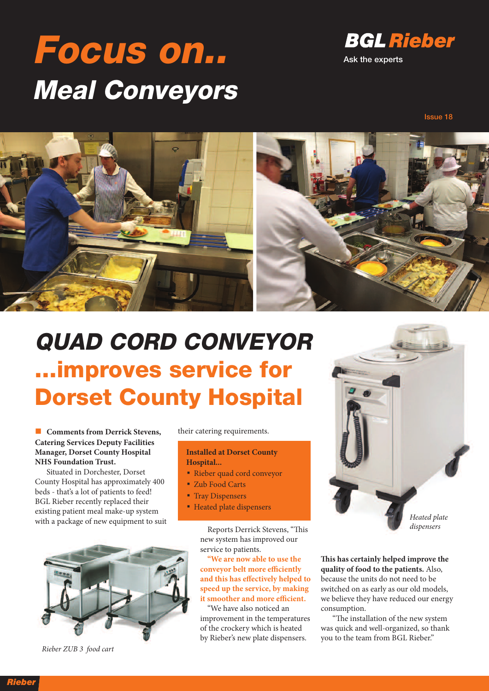# **Focus on.. Meal Conveyors**



#### **Issue 18**



### **QUAD CORD CONVEYOR ...improves service for Dorset County Hospital**

n **Comments from Derrick Stevens, Catering Services Deputy Facilities Manager, Dorset County Hospital NHS Foundation Trust.**

Situated in Dorchester, Dorset County Hospital has approximately 400 beds - that's a lot of patients to feed! BGL Rieber recently replaced their existing patient meal make-up system with a package of new equipment to suit



Rieber ZUB 3 food cart

their catering requirements.

#### **Installed at Dorset County Hospital...**

- Rieber quad cord conveyor
- Zub Food Carts
- Tray Dispensers
- Heated plate dispensers

Reports Derrick Stevens, "This new system has improved our service to patients.

**"We are now able to use the conveyor belt more efficiently and this has effectively helped to speed up the service, by making it smoother and more efficient.**

"We have also noticed an improvement in the temperatures of the crockery which is heated by Rieber's new plate dispensers.



**is has certainly helped improve the quality of food to the patients.** Also, because the units do not need to be switched on as early as our old models, we believe they have reduced our energy consumption.

"The installation of the new system was quick and well-organized, so thank you to the team from BGL Rieber."